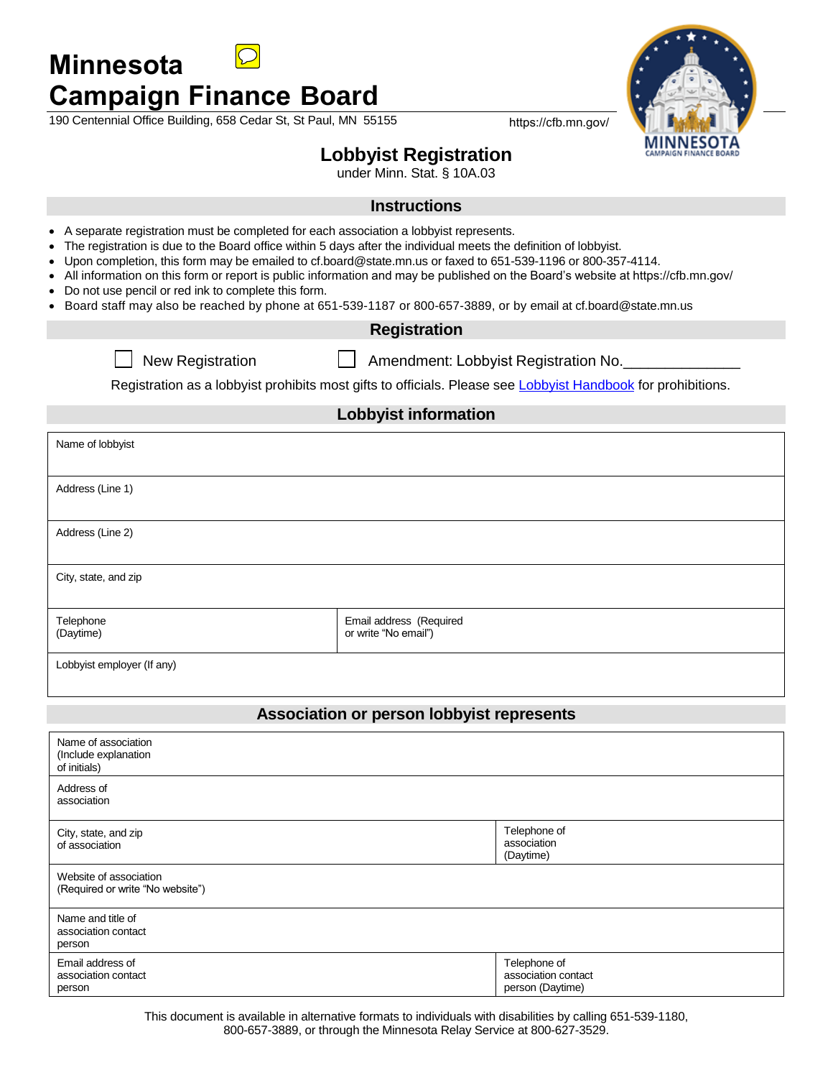

# **Campaign Finance Board**

**Minnesota**

190 Centennial Office Building, 658 Cedar St, St Paul, MN 55155 https://cfb.mn.gov/



# **Lobbyist Registration**

under Minn. Stat. § 10A.03

### **Instructions**

- A separate registration must be completed for each association a lobbyist represents.
- The registration is due to the Board office within 5 days after the individual meets the definition of lobbyist.
- Upon completion, this form may be emailed to cf.board@state.mn.us or faxed to 651-539-1196 or 800-357-4114.
- All information on this form or report is public information and may be published on the Board's website at https://cfb.mn.gov/
- Do not use pencil or red ink to complete this form.
- Board staff may also be reached by phone at 651-539-1187 or 800-657-3889, or by email at cf.board@state.mn.us

#### **Registration**

New Registration **Amendment: Lobbyist Registration No.** 

Registration as a lobbyist prohibits most gifts to officials. Please se[e Lobbyist Handbook](http://www.cfboard.state.mn.us/handbook/hb_lobbyist.pdf) for prohibitions.

## **Lobbyist information**

| Name of lobbyist           |                                                 |  |
|----------------------------|-------------------------------------------------|--|
|                            |                                                 |  |
| Address (Line 1)           |                                                 |  |
|                            |                                                 |  |
| Address (Line 2)           |                                                 |  |
|                            |                                                 |  |
| City, state, and zip       |                                                 |  |
|                            |                                                 |  |
| Telephone<br>(Daytime)     | Email address (Required<br>or write "No email") |  |
| Lobbyist employer (If any) |                                                 |  |

#### **Association or person lobbyist represents**

| Name of association<br>(Include explanation<br>of initials) |                                                         |
|-------------------------------------------------------------|---------------------------------------------------------|
| Address of<br>association                                   |                                                         |
| City, state, and zip<br>of association                      | Telephone of<br>association<br>(Daytime)                |
| Website of association<br>(Required or write "No website")  |                                                         |
| Name and title of<br>association contact<br>person          |                                                         |
| Email address of<br>association contact<br>person           | Telephone of<br>association contact<br>person (Daytime) |

This document is available in alternative formats to individuals with disabilities by calling 651-539-1180, 800-657-3889, or through the Minnesota Relay Service at 800-627-3529.